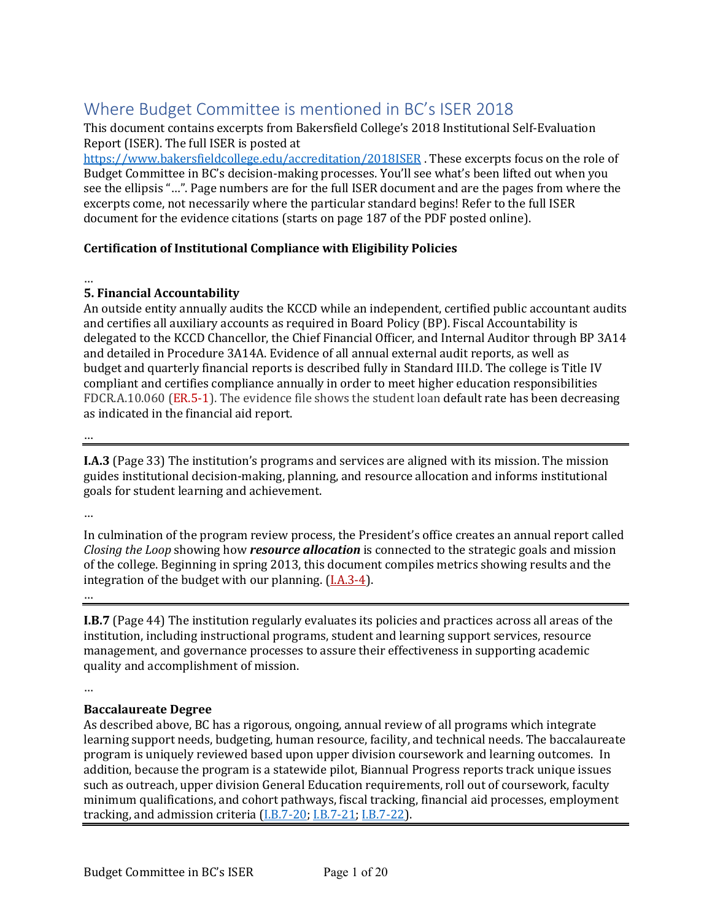# Where Budget Committee is mentioned in BC's ISER 2018

This document contains excerpts from Bakersfield College's 2018 Institutional Self-Evaluation Report (ISER). The full ISER is posted at

https://www.bakersfieldcollege.edu/accreditation/2018ISER. These excerpts focus on the role of Budget Committee in BC's decision-making processes. You'll see what's been lifted out when you see the ellipsis "...". Page numbers are for the full ISER document and are the pages from where the excerpts come, not necessarily where the particular standard begins! Refer to the full ISER document for the evidence citations (starts on page 187 of the PDF posted online).

# **Certification of Institutional Compliance with Eligibility Policies**

…

# **5. Financial Accountability**

An outside entity annually audits the KCCD while an independent, certified public accountant audits and certifies all auxiliary accounts as required in Board Policy (BP). Fiscal Accountability is delegated to the KCCD Chancellor, the Chief Financial Officer, and Internal Auditor through BP 3A14 and detailed in Procedure 3A14A. Evidence of all annual external audit reports, as well as budget and quarterly financial reports is described fully in Standard III.D. The college is Title IV compliant and certifies compliance annually in order to meet higher education responsibilities FDCR.A.10.060 (ER.5-1). The evidence file shows the student loan default rate has been decreasing as indicated in the financial aid report.

 $\dots$ 

**I.A.3** (Page 33) The institution's programs and services are aligned with its mission. The mission guides institutional decision-making, planning, and resource allocation and informs institutional goals for student learning and achievement.

…

In culmination of the program review process, the President's office creates an annual report called *Closing the Loop* showing how *resource allocation* is connected to the strategic goals and mission of the college. Beginning in spring 2013, this document compiles metrics showing results and the integration of the budget with our planning.  $(1.A.3-4)$ .

…

**I.B.7** (Page 44) The institution regularly evaluates its policies and practices across all areas of the institution, including instructional programs, student and learning support services, resource management, and governance processes to assure their effectiveness in supporting academic quality and accomplishment of mission.

…

# **Baccalaureate Degree**

As described above, BC has a rigorous, ongoing, annual review of all programs which integrate learning support needs, budgeting, human resource, facility, and technical needs. The baccalaureate program is uniquely reviewed based upon upper division coursework and learning outcomes. In addition, because the program is a statewide pilot, Biannual Progress reports track unique issues such as outreach, upper division General Education requirements, roll out of coursework, faculty minimum qualifications, and cohort pathways, fiscal tracking, financial aid processes, employment tracking, and admission criteria  $(I.B.7-20; I.B.7-21; I.B.7-22)$ .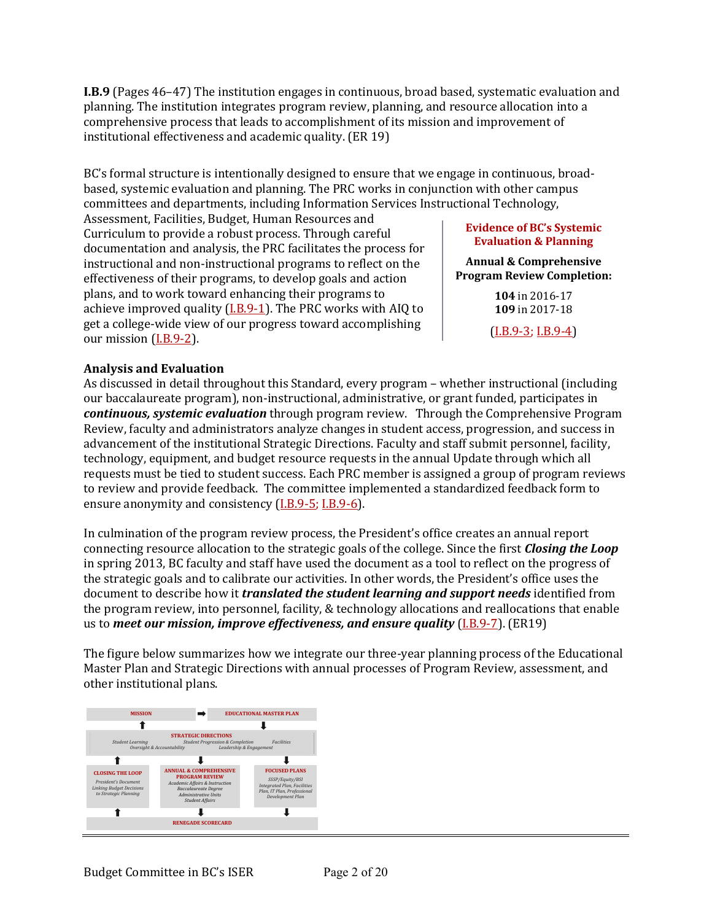**I.B.9** (Pages 46–47) The institution engages in continuous, broad based, systematic evaluation and planning. The institution integrates program review, planning, and resource allocation into a comprehensive process that leads to accomplishment of its mission and improvement of institutional effectiveness and academic quality. (ER 19)

BC's formal structure is intentionally designed to ensure that we engage in continuous, broadbased, systemic evaluation and planning. The PRC works in conjunction with other campus committees and departments, including Information Services Instructional Technology,

Assessment, Facilities, Budget, Human Resources and Curriculum to provide a robust process. Through careful documentation and analysis, the PRC facilitates the process for instructional and non-instructional programs to reflect on the effectiveness of their programs, to develop goals and action plans, and to work toward enhancing their programs to achieve improved quality  $(I.B.9-1)$ . The PRC works with AIQ to get a college-wide view of our progress toward accomplishing our mission  $(I.B.9-2)$ .

#### **Evidence of BC's Systemic Evaluation & Planning**

#### **Annual & Comprehensive Program Review Completion:**

**104** in 2016-17 **109** in 2017-18

 $(LB.9-3; LB.9-4)$ 

# **Analysis and Evaluation**

As discussed in detail throughout this Standard, every program - whether instructional (including our baccalaureate program), non-instructional, administrative, or grant funded, participates in *continuous, systemic evaluation* through program review. Through the Comprehensive Program Review, faculty and administrators analyze changes in student access, progression, and success in advancement of the institutional Strategic Directions. Faculty and staff submit personnel, facility, technology, equipment, and budget resource requests in the annual Update through which all requests must be tied to student success. Each PRC member is assigned a group of program reviews to review and provide feedback. The committee implemented a standardized feedback form to ensure anonymity and consistency (I.B.9-5; I.B.9-6).

In culmination of the program review process, the President's office creates an annual report connecting resource allocation to the strategic goals of the college. Since the first **Closing the Loop** in spring 2013, BC faculty and staff have used the document as a tool to reflect on the progress of the strategic goals and to calibrate our activities. In other words, the President's office uses the document to describe how it *translated the student learning and support needs* identified from the program review, into personnel, facility, & technology allocations and reallocations that enable us to *meet our mission, improve effectiveness, and ensure quality* (*I.B.9-7*). (ER19)

The figure below summarizes how we integrate our three-year planning process of the Educational Master Plan and Strategic Directions with annual processes of Program Review, assessment, and other institutional plans.

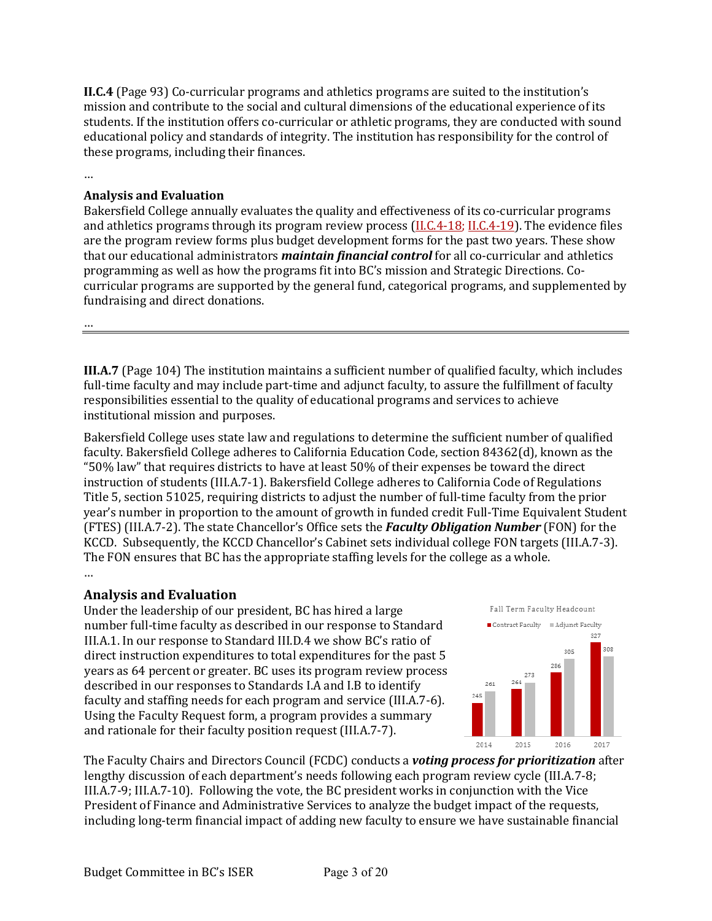**II.C.4** (Page 93) Co-curricular programs and athletics programs are suited to the institution's mission and contribute to the social and cultural dimensions of the educational experience of its students. If the institution offers co-curricular or athletic programs, they are conducted with sound educational policy and standards of integrity. The institution has responsibility for the control of these programs, including their finances.

…

# **Analysis and Evaluation**

Bakersfield College annually evaluates the quality and effectiveness of its co-curricular programs and athletics programs through its program review process  $(II.C.4-18; II.C.4-19)$ . The evidence files are the program review forms plus budget development forms for the past two years. These show that our educational administrators *maintain financial control* for all co-curricular and athletics programming as well as how the programs fit into BC's mission and Strategic Directions. Cocurricular programs are supported by the general fund, categorical programs, and supplemented by fundraising and direct donations.

…

**III.A.7** (Page 104) The institution maintains a sufficient number of qualified faculty, which includes full-time faculty and may include part-time and adjunct faculty, to assure the fulfillment of faculty responsibilities essential to the quality of educational programs and services to achieve institutional mission and purposes.

Bakersfield College uses state law and regulations to determine the sufficient number of qualified faculty. Bakersfield College adheres to California Education Code, section 84362(d), known as the "50% law" that requires districts to have at least 50% of their expenses be toward the direct instruction of students (III.A.7-1). Bakersfield College adheres to California Code of Regulations Title 5, section 51025, requiring districts to adjust the number of full-time faculty from the prior year's number in proportion to the amount of growth in funded credit Full-Time Equivalent Student year's number in proportion to the amount of growth in funded credit Full-Time Equivalent state.<br>(FTES) (III.A.7-2). The state Chancellor's Office sets the **Faculty Obligation Number** (FON) for the KCCD. Subsequently, the KCCD Chancellor's Cabinet sets individual college FON targets (III.A.7-3). The FON ensures that BC has the appropriate staffing levels for the college as a whole. …  $\epsilon$ s districts to have at least 50  $\%$  of their expenses be toward the direct state Chancellor's Office sets the *Faculty Obligation Number* (FON) for the

#### **Analysis and Evaluation**  $\mathbb{R}^d$  backalaureate degree program in Industrial Automatic plus other faculty plus other faculty plus other faculty plus other faculty plus other faculty plus other faculty plus other faculty plus other faculty plus

Anarysis and Evaluation<br>Under the leadership of our president, BC has hired a large number full-time faculty as described in our response to Standard III.A.1. In our response to Standard III.D.4 we show BC's ratio of direct instruction expenditures to total expenditures for the past 5 years as 64 percent or greater. BC uses its program review process described in our responses to Standards I.A and I.B to identify faculty and staffing needs for each program and service (III.A.7-6). recency and summight case for such program and corrico (main by Using the Faculty Request form, a program provides a summary and rationale for their faculty position request (III.A.7-7).  $\mathcal{L}$  in the standard in our response to  $\mathcal{L}$ aest form, a program provides a summary



The Faculty Chairs and Directors Council (FCDC) conducts a *voting process for prioritization* after lengthy discussion of each department's needs following each program review cycle (III.A.7-8; III.A.7-9; III.A.7-10). Following the vote, the BC president works in conjunction with the Vice President of Finance and Administrative Services to analyze the budget impact of the requests, r resident of rindice and Administrative services to analyze the budget impact of the requests,<br>including long-term financial impact of adding new faculty to ensure we have sustainable financial financial impact of adding new faculty to ensure we have sustainable i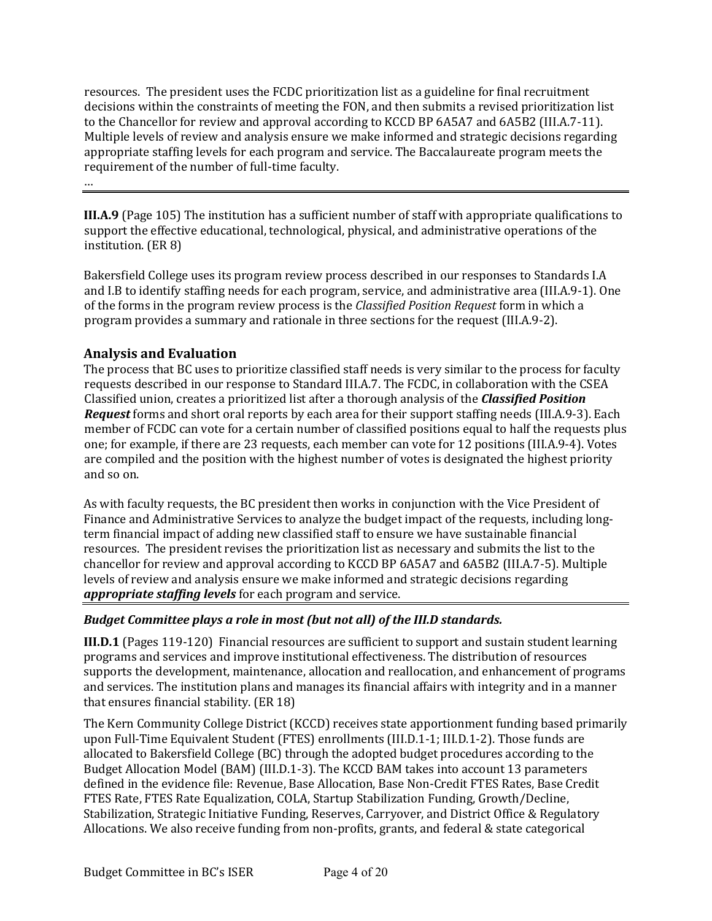resources. The president uses the FCDC prioritization list as a guideline for final recruitment decisions within the constraints of meeting the FON, and then submits a revised prioritization list to the Chancellor for review and approval according to KCCD BP 6A5A7 and 6A5B2 (III.A.7-11). Multiple levels of review and analysis ensure we make informed and strategic decisions regarding appropriate staffing levels for each program and service. The Baccalaureate program meets the requirement of the number of full-time faculty.

…

**III.A.9** (Page 105) The institution has a sufficient number of staff with appropriate qualifications to support the effective educational, technological, physical, and administrative operations of the institution. (ER 8)

Bakersfield College uses its program review process described in our responses to Standards I.A and I.B to identify staffing needs for each program, service, and administrative area (III.A.9-1). One of the forms in the program review process is the *Classified Position Request* form in which a program provides a summary and rationale in three sections for the request (III.A.9-2).

# **Analysis and Evaluation**

The process that BC uses to prioritize classified staff needs is very similar to the process for faculty requests described in our response to Standard III.A.7. The FCDC, in collaboration with the CSEA Classified union, creates a prioritized list after a thorough analysis of the *Classified Position* **Request** forms and short oral reports by each area for their support staffing needs (III.A.9-3). Each member of FCDC can vote for a certain number of classified positions equal to half the requests plus one; for example, if there are 23 requests, each member can vote for 12 positions (III.A.9-4). Votes are compiled and the position with the highest number of votes is designated the highest priority and so on.

As with faculty requests, the BC president then works in conjunction with the Vice President of Finance and Administrative Services to analyze the budget impact of the requests, including longterm financial impact of adding new classified staff to ensure we have sustainable financial resources. The president revises the prioritization list as necessary and submits the list to the chancellor for review and approval according to KCCD BP  $6A5A7$  and  $6A5B2$  (III.A.7-5). Multiple levels of review and analysis ensure we make informed and strategic decisions regarding appropriate staffing levels for each program and service.

# *Budget Committee plays a role in most (but not all) of the III.D standards.*

**III.D.1** (Pages 119-120) Financial resources are sufficient to support and sustain student learning programs and services and improve institutional effectiveness. The distribution of resources supports the development, maintenance, allocation and reallocation, and enhancement of programs and services. The institution plans and manages its financial affairs with integrity and in a manner that ensures financial stability.  $(ER 18)$ 

The Kern Community College District (KCCD) receives state apportionment funding based primarily upon Full-Time Equivalent Student (FTES) enrollments (III.D.1-1; III.D.1-2). Those funds are allocated to Bakersfield College (BC) through the adopted budget procedures according to the Budget Allocation Model (BAM) (III.D.1-3). The KCCD BAM takes into account 13 parameters defined in the evidence file: Revenue, Base Allocation, Base Non-Credit FTES Rates, Base Credit FTES Rate, FTES Rate Equalization, COLA, Startup Stabilization Funding, Growth/Decline, Stabilization, Strategic Initiative Funding, Reserves, Carryover, and District Office & Regulatory Allocations. We also receive funding from non-profits, grants, and federal  $&$  state categorical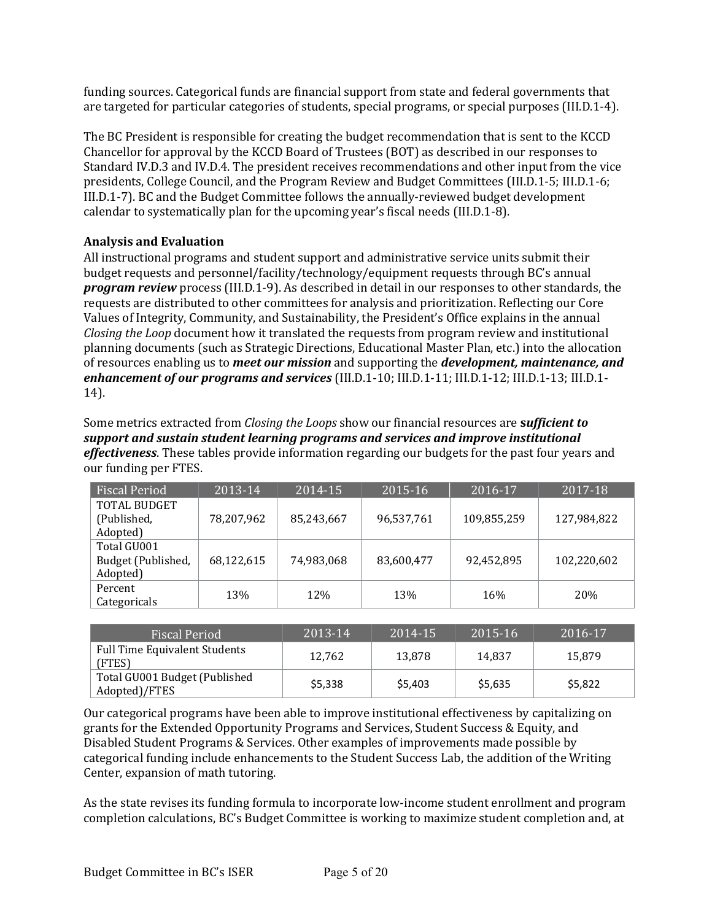funding sources. Categorical funds are financial support from state and federal governments that are targeted for particular categories of students, special programs, or special purposes (III.D.1-4).

The BC President is responsible for creating the budget recommendation that is sent to the KCCD Chancellor for approval by the KCCD Board of Trustees (BOT) as described in our responses to Standard IV.D.3 and IV.D.4. The president receives recommendations and other input from the vice presidents, College Council, and the Program Review and Budget Committees (III.D.1-5; III.D.1-6; III.D.1-7). BC and the Budget Committee follows the annually-reviewed budget development calendar to systematically plan for the upcoming year's fiscal needs (III.D.1-8).

# **Analysis and Evaluation**

All instructional programs and student support and administrative service units submit their budget requests and personnel/facility/technology/equipment requests through BC's annual *program review* process (III.D.1-9). As described in detail in our responses to other standards, the requests are distributed to other committees for analysis and prioritization. Reflecting our Core Values of Integrity, Community, and Sustainability, the President's Office explains in the annual *Closing the Loop* document how it translated the requests from program review and institutional planning documents (such as Strategic Directions, Educational Master Plan, etc.) into the allocation of resources enabling us to *meet our mission* and supporting the *development, maintenance, and enhancement of our programs and services* (III.D.1-10; III.D.1-11; III.D.1-12; III.D.1-13; III.D.1-14). 

Some metrics extracted from *Closing the Loops* show our financial resources are **sufficient to** support and sustain student learning programs and services and *improve institutional* effectiveness. These tables provide information regarding our budgets for the past four years and our funding per FTES.

| <b>Fiscal Period</b> | 2013-14    | 2014-15    | 2015-16    | 2016-17     | 2017-18     |
|----------------------|------------|------------|------------|-------------|-------------|
| <b>TOTAL BUDGET</b>  |            |            |            |             |             |
| (Published,          | 78,207,962 | 85,243,667 | 96,537,761 | 109,855,259 | 127,984,822 |
| Adopted)             |            |            |            |             |             |
| Total GU001          |            |            |            |             |             |
| Budget (Published,   | 68,122,615 | 74,983,068 | 83,600,477 | 92,452,895  | 102,220,602 |
| Adopted)             |            |            |            |             |             |
| Percent              | 13%        |            | 13%        |             | 20%         |
| Categoricals         |            | 12%        |            | 16%         |             |

| <b>Fiscal Period</b>                           | 2013-14 | 2014-15 | 2015-16 | 2016-17 |
|------------------------------------------------|---------|---------|---------|---------|
| Full Time Equivalent Students<br>(FTES)        | 12.762  | 13,878  | 14.837  | 15.879  |
| Total GU001 Budget (Published<br>Adopted)/FTES | \$5,338 | \$5,403 | \$5,635 | \$5,822 |

Our categorical programs have been able to improve institutional effectiveness by capitalizing on grants for the Extended Opportunity Programs and Services, Student Success & Equity, and Disabled Student Programs & Services. Other examples of improvements made possible by categorical funding include enhancements to the Student Success Lab, the addition of the Writing Center, expansion of math tutoring.

As the state revises its funding formula to incorporate low-income student enrollment and program completion calculations, BC's Budget Committee is working to maximize student completion and, at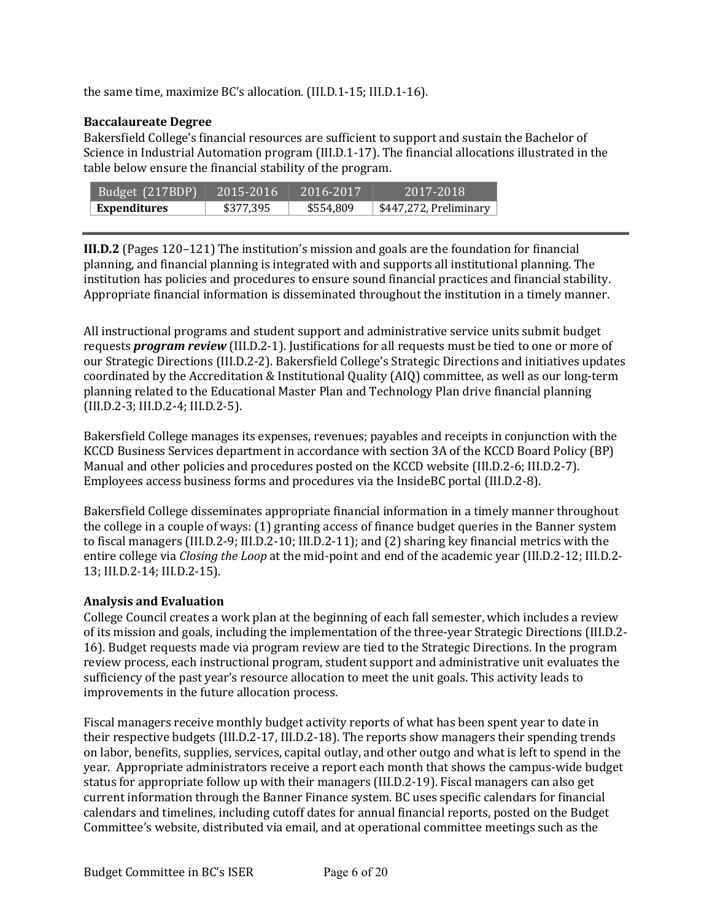the same time, maximize BC's allocation. (III.D.1-15; III.D.1-16).

# **Baccalaureate Degree**

Bakersfield College's financial resources are sufficient to support and sustain the Bachelor of Science in Industrial Automation program  $(III.D.1-17)$ . The financial allocations illustrated in the table below ensure the financial stability of the program.

| Budget (217BDP)     | $12015 - 2016$ | 2016-2017 | 2017-2018              |
|---------------------|----------------|-----------|------------------------|
| <b>Expenditures</b> | \$377,395      | \$554,809 | \$447,272, Preliminary |

**III.D.2** (Pages 120-121) The institution's mission and goals are the foundation for financial planning, and financial planning is integrated with and supports all institutional planning. The institution has policies and procedures to ensure sound financial practices and financial stability. Appropriate financial information is disseminated throughout the institution in a timely manner.

All instructional programs and student support and administrative service units submit budget requests *program review* (III.D.2-1). Justifications for all requests must be tied to one or more of our Strategic Directions (III.D.2-2). Bakersfield College's Strategic Directions and initiatives updates coordinated by the Accreditation & Institutional Quality (AIQ) committee, as well as our long-term planning related to the Educational Master Plan and Technology Plan drive financial planning  $(III.D.2-3; III.D.2-4; III.D.2-5).$ 

Bakersfield College manages its expenses, revenues; payables and receipts in conjunction with the KCCD Business Services department in accordance with section 3A of the KCCD Board Policy (BP) Manual and other policies and procedures posted on the KCCD website (III.D.2-6; III.D.2-7). Employees access business forms and procedures via the InsideBC portal (III.D.2-8).

Bakersfield College disseminates appropriate financial information in a timely manner throughout the college in a couple of ways:  $(1)$  granting access of finance budget queries in the Banner system to fiscal managers (III.D.2-9; III.D.2-10; III.D.2-11); and  $(2)$  sharing key financial metrics with the entire college via *Closing the Loop* at the mid-point and end of the academic year (III.D.2-12; III.D.2-13; III.D.2-14; III.D.2-15).

# **Analysis and Evaluation**

College Council creates a work plan at the beginning of each fall semester, which includes a review of its mission and goals, including the implementation of the three-year Strategic Directions (III.D.2-16). Budget requests made via program review are tied to the Strategic Directions. In the program review process, each instructional program, student support and administrative unit evaluates the sufficiency of the past year's resource allocation to meet the unit goals. This activity leads to improvements in the future allocation process.

Fiscal managers receive monthly budget activity reports of what has been spent year to date in their respective budgets  $(III.D.2-17, III.D.2-18)$ . The reports show managers their spending trends on labor, benefits, supplies, services, capital outlay, and other outgo and what is left to spend in the year. Appropriate administrators receive a report each month that shows the campus-wide budget status for appropriate follow up with their managers (III.D.2-19). Fiscal managers can also get current information through the Banner Finance system. BC uses specific calendars for financial calendars and timelines, including cutoff dates for annual financial reports, posted on the Budget Committee's website, distributed via email, and at operational committee meetings such as the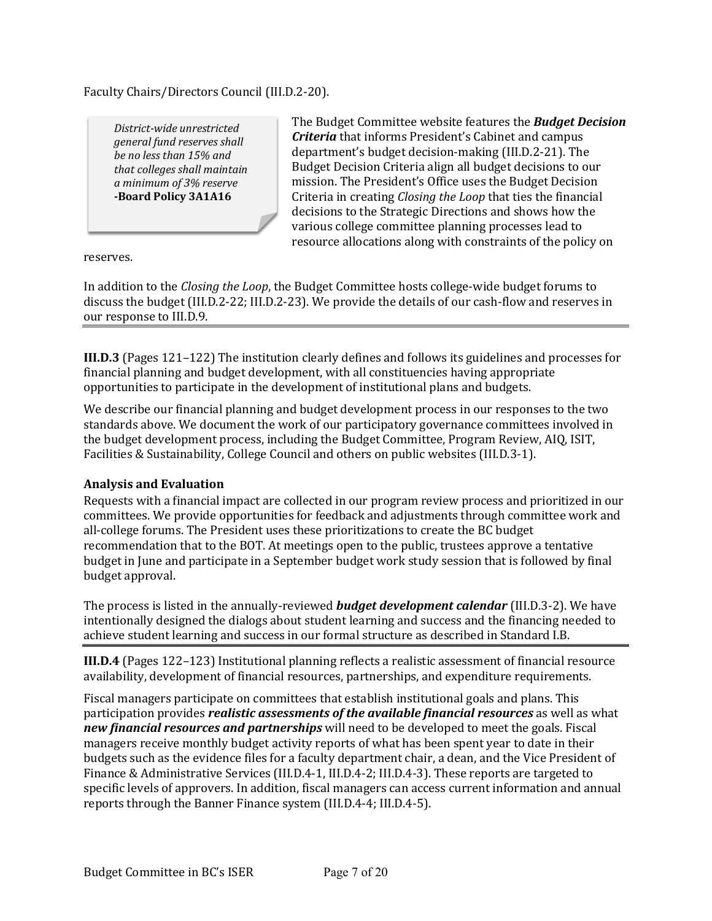Faculty Chairs/Directors Council (III.D.2-20).

*District-wide unrestricted general* fund reserves shall *be no less than 15% and that colleges shall maintain a minimum of 3% reserve* **-Board Policy 3A1A16** 

The Budget Committee website features the **Budget Decision** *Criteria* that informs President's Cabinet and campus department's budget decision-making (III.D.2-21). The Budget Decision Criteria align all budget decisions to our mission. The President's Office uses the Budget Decision Criteria in creating *Closing the Loop* that ties the financial decisions to the Strategic Directions and shows how the various college committee planning processes lead to resource allocations along with constraints of the policy on

reserves. 

In addition to the *Closing the Loop*, the Budget Committee hosts college-wide budget forums to discuss the budget (III.D.2-22; III.D.2-23). We provide the details of our cash-flow and reserves in our response to III.D.9.

**III.D.3** (Pages 121-122) The institution clearly defines and follows its guidelines and processes for financial planning and budget development, with all constituencies having appropriate opportunities to participate in the development of institutional plans and budgets.

We describe our financial planning and budget development process in our responses to the two standards above. We document the work of our participatory governance committees involved in the budget development process, including the Budget Committee, Program Review, AIQ, ISIT, Facilities & Sustainability, College Council and others on public websites (III.D.3-1).

#### **Analysis and Evaluation**

Requests with a financial impact are collected in our program review process and prioritized in our committees. We provide opportunities for feedback and adjustments through committee work and all-college forums. The President uses these prioritizations to create the BC budget recommendation that to the BOT. At meetings open to the public, trustees approve a tentative budget in June and participate in a September budget work study session that is followed by final budget approval.

The process is listed in the annually-reviewed **budget development calendar** (III.D.3-2). We have intentionally designed the dialogs about student learning and success and the financing needed to achieve student learning and success in our formal structure as described in Standard I.B.

**III.D.4** (Pages 122–123) Institutional planning reflects a realistic assessment of financial resource availability, development of financial resources, partnerships, and expenditure requirements.

Fiscal managers participate on committees that establish institutional goals and plans. This participation provides *realistic assessments of the available financial resources* as well as what new *financial resources and partnerships* will need to be developed to meet the goals. Fiscal managers receive monthly budget activity reports of what has been spent year to date in their budgets such as the evidence files for a faculty department chair, a dean, and the Vice President of Finance & Administrative Services (III.D.4-1, III.D.4-2; III.D.4-3). These reports are targeted to specific levels of approvers. In addition, fiscal managers can access current information and annual reports through the Banner Finance system (III.D.4-4; III.D.4-5).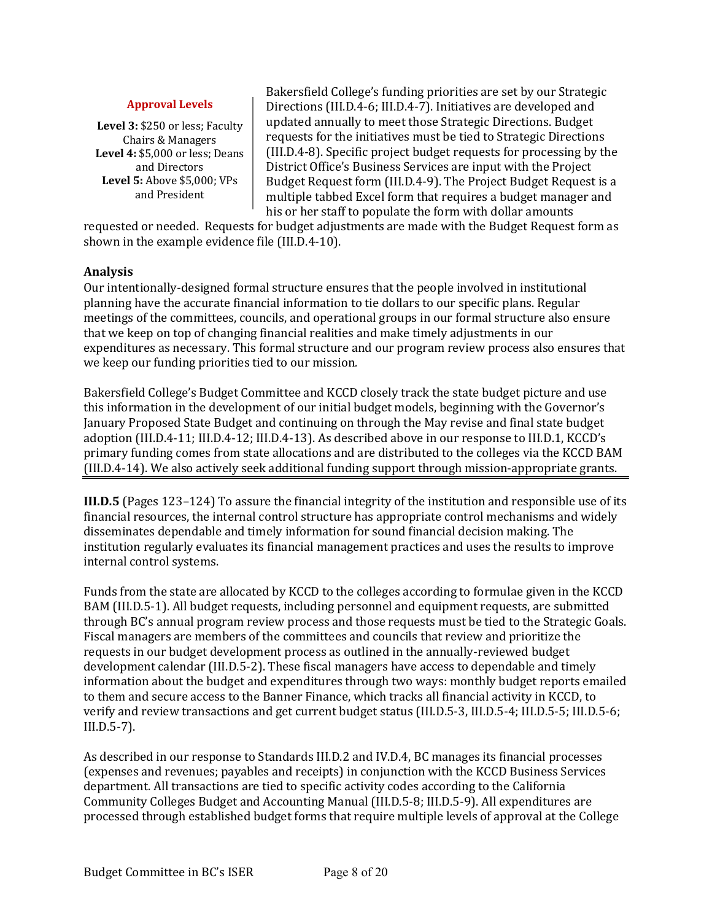#### **Approval Levels**

Level 3: \$250 or less; Faculty Chairs & Managers **Level 4: \$5,000 or less; Deans** and Directors **Level 5:** Above \$5,000: VPs and President

Bakersfield College's funding priorities are set by our Strategic Directions (III.D.4-6; III.D.4-7). Initiatives are developed and updated annually to meet those Strategic Directions. Budget requests for the initiatives must be tied to Strategic Directions (III.D.4-8). Specific project budget requests for processing by the District Office's Business Services are input with the Project Budget Request form (III.D.4-9). The Project Budget Request is a multiple tabbed Excel form that requires a budget manager and his or her staff to populate the form with dollar amounts

requested or needed. Requests for budget adjustments are made with the Budget Request form as shown in the example evidence file (III.D.4-10).

#### **Analysis**

Our intentionally-designed formal structure ensures that the people involved in institutional planning have the accurate financial information to tie dollars to our specific plans. Regular meetings of the committees, councils, and operational groups in our formal structure also ensure that we keep on top of changing financial realities and make timely adjustments in our expenditures as necessary. This formal structure and our program review process also ensures that we keep our funding priorities tied to our mission.

Bakersfield College's Budget Committee and KCCD closely track the state budget picture and use this information in the development of our initial budget models, beginning with the Governor's January Proposed State Budget and continuing on through the May revise and final state budget adoption (III.D.4-11; III.D.4-12; III.D.4-13). As described above in our response to III.D.1, KCCD's primary funding comes from state allocations and are distributed to the colleges via the KCCD BAM  $(III.D.4-14)$ . We also actively seek additional funding support through mission-appropriate grants.

**III.D.5** (Pages 123–124) To assure the financial integrity of the institution and responsible use of its financial resources, the internal control structure has appropriate control mechanisms and widely disseminates dependable and timely information for sound financial decision making. The institution regularly evaluates its financial management practices and uses the results to improve internal control systems.

Funds from the state are allocated by KCCD to the colleges according to formulae given in the KCCD BAM (III.D.5-1). All budget requests, including personnel and equipment requests, are submitted through BC's annual program review process and those requests must be tied to the Strategic Goals. Fiscal managers are members of the committees and councils that review and prioritize the requests in our budget development process as outlined in the annually-reviewed budget development calendar (III.D.5-2). These fiscal managers have access to dependable and timely information about the budget and expenditures through two ways: monthly budget reports emailed to them and secure access to the Banner Finance, which tracks all financial activity in KCCD, to verify and review transactions and get current budget status (III.D.5-3, III.D.5-4; III.D.5-5; III.D.5-6; III.D.5-7).

As described in our response to Standards III.D.2 and IV.D.4, BC manages its financial processes (expenses and revenues; payables and receipts) in conjunction with the KCCD Business Services department. All transactions are tied to specific activity codes according to the California Community Colleges Budget and Accounting Manual (III.D.5-8; III.D.5-9). All expenditures are processed through established budget forms that require multiple levels of approval at the College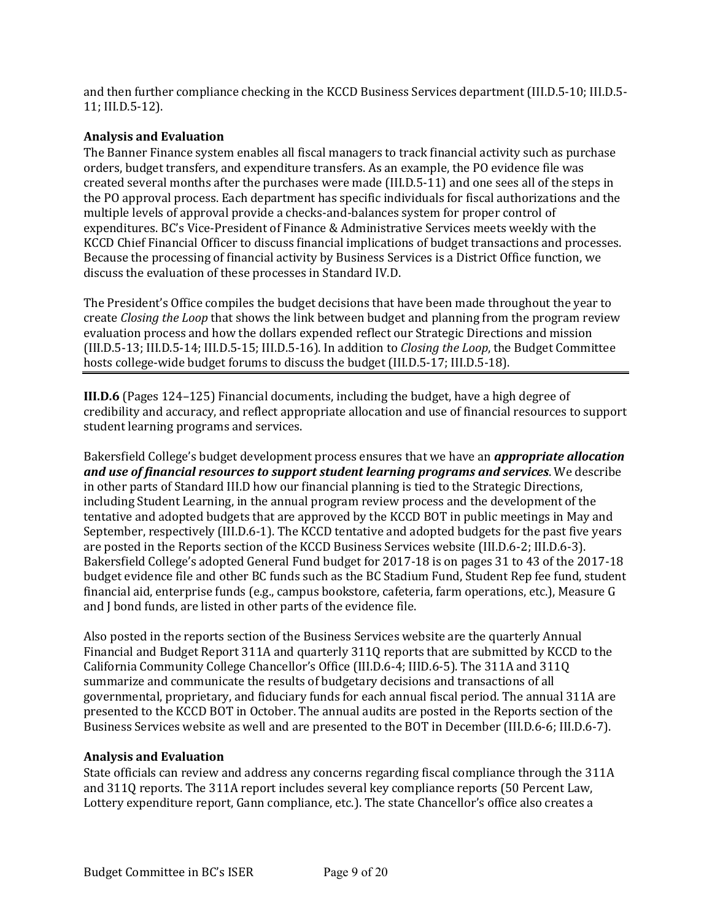and then further compliance checking in the KCCD Business Services department (III.D.5-10; III.D.5-11; III.D.5-12). 

# **Analysis and Evaluation**

The Banner Finance system enables all fiscal managers to track financial activity such as purchase orders, budget transfers, and expenditure transfers. As an example, the PO evidence file was created several months after the purchases were made (III.D.5-11) and one sees all of the steps in the PO approval process. Each department has specific individuals for fiscal authorizations and the multiple levels of approval provide a checks-and-balances system for proper control of expenditures. BC's Vice-President of Finance & Administrative Services meets weekly with the KCCD Chief Financial Officer to discuss financial implications of budget transactions and processes. Because the processing of financial activity by Business Services is a District Office function, we discuss the evaluation of these processes in Standard IV.D.

The President's Office compiles the budget decisions that have been made throughout the year to create *Closing the Loop* that shows the link between budget and planning from the program review evaluation process and how the dollars expended reflect our Strategic Directions and mission (III.D.5-13; III.D.5-14; III.D.5-15; III.D.5-16). In addition to *Closing the Loop*, the Budget Committee hosts college-wide budget forums to discuss the budget (III.D.5-17; III.D.5-18).

**III.D.6** (Pages 124-125) Financial documents, including the budget, have a high degree of credibility and accuracy, and reflect appropriate allocation and use of financial resources to support student learning programs and services.

Bakersfield College's budget development process ensures that we have an *appropriate allocation and use of financial resources to support student learning programs and services.* **We describe** in other parts of Standard III.D how our financial planning is tied to the Strategic Directions, including Student Learning, in the annual program review process and the development of the tentative and adopted budgets that are approved by the KCCD BOT in public meetings in May and September, respectively (III.D.6-1). The KCCD tentative and adopted budgets for the past five years are posted in the Reports section of the KCCD Business Services website (III.D.6-2; III.D.6-3). Bakersfield College's adopted General Fund budget for 2017-18 is on pages 31 to 43 of the 2017-18 budget evidence file and other BC funds such as the BC Stadium Fund, Student Rep fee fund, student financial aid, enterprise funds (e.g., campus bookstore, cafeteria, farm operations, etc.), Measure G and J bond funds, are listed in other parts of the evidence file.

Also posted in the reports section of the Business Services website are the quarterly Annual Financial and Budget Report 311A and quarterly 311Q reports that are submitted by KCCD to the California Community College Chancellor's Office (III.D.6-4; IIID.6-5). The 311A and 311Q summarize and communicate the results of budgetary decisions and transactions of all governmental, proprietary, and fiduciary funds for each annual fiscal period. The annual 311A are presented to the KCCD BOT in October. The annual audits are posted in the Reports section of the Business Services website as well and are presented to the BOT in December (III.D.6-6; III.D.6-7).

#### **Analysis and Evaluation**

State officials can review and address any concerns regarding fiscal compliance through the 311A and 311Q reports. The 311A report includes several key compliance reports (50 Percent Law, Lottery expenditure report, Gann compliance, etc.). The state Chancellor's office also creates a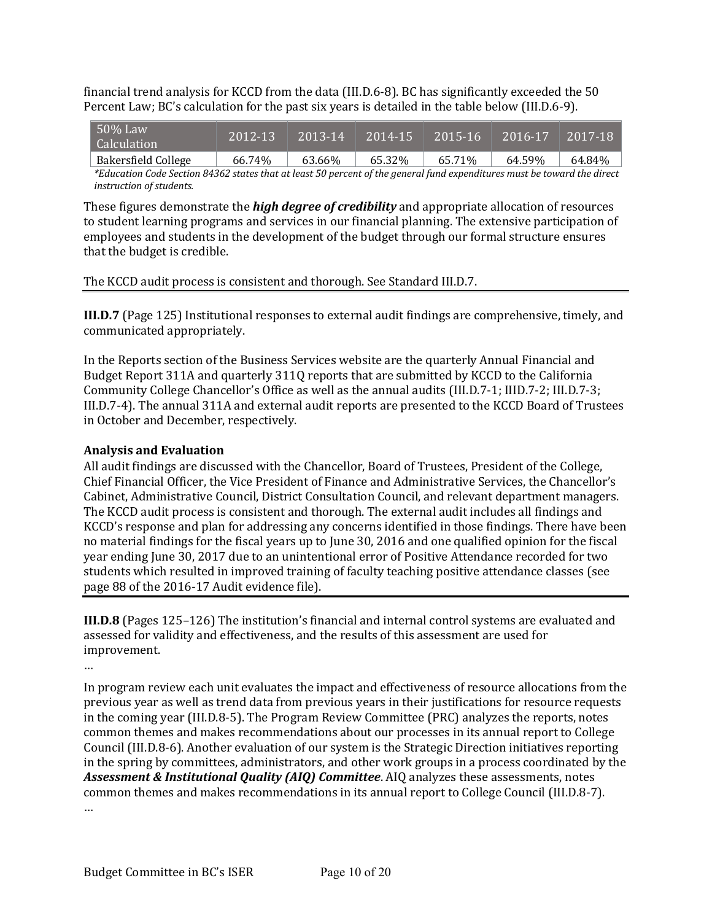financial trend analysis for KCCD from the data  $(III.D.6-8)$ . BC has significantly exceeded the 50 Percent Law; BC's calculation for the past six years is detailed in the table below (III.D.6-9).

| $50\%$ Law<br><b>Calculation</b> | 2012-13 | $ 2013 - 14 $ | 2014-15 | 2015-16 | 2016-17 | 2017-18 |
|----------------------------------|---------|---------------|---------|---------|---------|---------|
| Bakersfield College              | 66.74%  | 63.66%        | 65.32%  | 65.71%  | 64.59%  | 64.84%  |

*\*Education Code Section 84362 states that at least 50 percent of the general fund expenditures must be toward the direct instruction of students.*

These figures demonstrate the *high degree of credibility* and appropriate allocation of resources to student learning programs and services in our financial planning. The extensive participation of employees and students in the development of the budget through our formal structure ensures that the budget is credible.

The KCCD audit process is consistent and thorough. See Standard III.D.7.

**III.D.7** (Page 125) Institutional responses to external audit findings are comprehensive, timely, and communicated appropriately.

In the Reports section of the Business Services website are the quarterly Annual Financial and Budget Report 311A and quarterly 311Q reports that are submitted by KCCD to the California Community College Chancellor's Office as well as the annual audits (III.D.7-1; IIID.7-2; III.D.7-3; III.D.7-4). The annual 311A and external audit reports are presented to the KCCD Board of Trustees in October and December, respectively.

### **Analysis and Evaluation**

All audit findings are discussed with the Chancellor, Board of Trustees, President of the College, Chief Financial Officer, the Vice President of Finance and Administrative Services, the Chancellor's Cabinet, Administrative Council, District Consultation Council, and relevant department managers. The KCCD audit process is consistent and thorough. The external audit includes all findings and KCCD's response and plan for addressing any concerns identified in those findings. There have been no material findings for the fiscal years up to June 30, 2016 and one qualified opinion for the fiscal year ending June 30, 2017 due to an unintentional error of Positive Attendance recorded for two students which resulted in improved training of faculty teaching positive attendance classes (see page 88 of the 2016-17 Audit evidence file).

**III.D.8** (Pages 125-126) The institution's financial and internal control systems are evaluated and assessed for validity and effectiveness, and the results of this assessment are used for improvement.

…

In program review each unit evaluates the impact and effectiveness of resource allocations from the previous year as well as trend data from previous years in their justifications for resource requests in the coming year (III.D.8-5). The Program Review Committee (PRC) analyzes the reports, notes common themes and makes recommendations about our processes in its annual report to College Council (III.D.8-6). Another evaluation of our system is the Strategic Direction initiatives reporting in the spring by committees, administrators, and other work groups in a process coordinated by the Assessment & Institutional Quality (AIQ) Committee. AIQ analyzes these assessments, notes common themes and makes recommendations in its annual report to College Council (III.D.8-7). …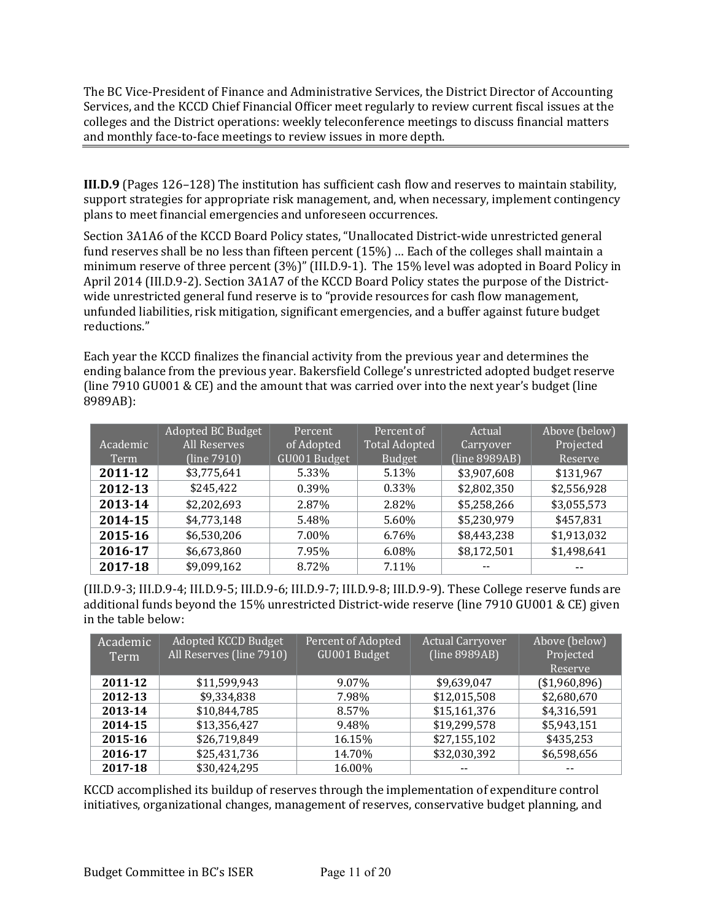The BC Vice-President of Finance and Administrative Services, the District Director of Accounting Services, and the KCCD Chief Financial Officer meet regularly to review current fiscal issues at the colleges and the District operations: weekly teleconference meetings to discuss financial matters and monthly face-to-face meetings to review issues in more depth.

**III.D.9** (Pages 126–128) The institution has sufficient cash flow and reserves to maintain stability, support strategies for appropriate risk management, and, when necessary, implement contingency plans to meet financial emergencies and unforeseen occurrences.

Section 3A1A6 of the KCCD Board Policy states, "Unallocated District-wide unrestricted general fund reserves shall be no less than fifteen percent (15%) ... Each of the colleges shall maintain a minimum reserve of three percent (3%)" (III.D.9-1). The 15% level was adopted in Board Policy in April 2014 (III.D.9-2). Section 3A1A7 of the KCCD Board Policy states the purpose of the Districtwide unrestricted general fund reserve is to "provide resources for cash flow management, unfunded liabilities, risk mitigation, significant emergencies, and a buffer against future budget reductions." 

Each year the KCCD finalizes the financial activity from the previous year and determines the ending balance from the previous year. Bakersfield College's unrestricted adopted budget reserve (line  $7910$  GU001 & CE) and the amount that was carried over into the next year's budget (line 8989AB):

| Academic<br>Term | Adopted BC Budget<br><b>All Reserves</b><br>(line 7910) | Percent<br>of Adopted<br>GU001 Budget | Percent of<br><b>Total Adopted</b><br><b>Budget</b> | Actual<br>Carryover<br>(line 8989AB) | Above (below)<br>Projected<br>Reserve |
|------------------|---------------------------------------------------------|---------------------------------------|-----------------------------------------------------|--------------------------------------|---------------------------------------|
| 2011-12          | \$3,775,641                                             | 5.33%                                 | 5.13%                                               | \$3,907,608                          | \$131,967                             |
| 2012-13          | \$245,422                                               | 0.39%                                 | 0.33%                                               | \$2,802,350                          | \$2,556,928                           |
| 2013-14          | \$2,202,693                                             | 2.87%                                 | 2.82%                                               | \$5,258,266                          | \$3,055,573                           |
| 2014-15          | \$4,773,148                                             | 5.48%                                 | 5.60%                                               | \$5,230,979                          | \$457,831                             |
| 2015-16          | \$6,530,206                                             | 7.00%                                 | 6.76%                                               | \$8,443,238                          | \$1,913,032                           |
| 2016-17          | \$6,673,860                                             | 7.95%                                 | 6.08%                                               | \$8,172,501                          | \$1,498,641                           |
| 2017-18          | \$9,099,162                                             | 8.72%                                 | 7.11%                                               |                                      |                                       |

 $(III.D.9-3; III.D.9-4; III.D.9-5; III.D.9-6; III.D.9-7; III.D.9-8; III.D.9-9; IIL.D.9-9). These College reserve funds are$ additional funds beyond the 15% unrestricted District-wide reserve (line 7910 GU001 & CE) given in the table below:

| Academic<br>Term | Adopted KCCD Budget<br>All Reserves (line 7910) | Percent of Adopted<br>GU001 Budget | <b>Actual Carryover</b><br>(line 8989AB) | Above (below)<br>Projected<br>Reserve |
|------------------|-------------------------------------------------|------------------------------------|------------------------------------------|---------------------------------------|
| 2011-12          | \$11,599,943                                    | 9.07%                              | \$9,639,047                              | ( \$1,960,896)                        |
| 2012-13          | \$9,334,838                                     | 7.98%                              | \$12,015,508                             | \$2,680,670                           |
| 2013-14          | \$10,844,785                                    | 8.57%                              | \$15,161,376                             | \$4,316,591                           |
| 2014-15          | \$13,356,427                                    | 9.48%                              | \$19,299,578                             | \$5,943,151                           |
| 2015-16          | \$26,719,849                                    | 16.15%                             | \$27,155,102                             | \$435,253                             |
| 2016-17          | \$25,431,736                                    | 14.70%                             | \$32,030,392                             | \$6,598,656                           |
| 2017-18          | \$30,424,295                                    | 16.00%                             |                                          |                                       |

KCCD accomplished its buildup of reserves through the implementation of expenditure control initiatives, organizational changes, management of reserves, conservative budget planning, and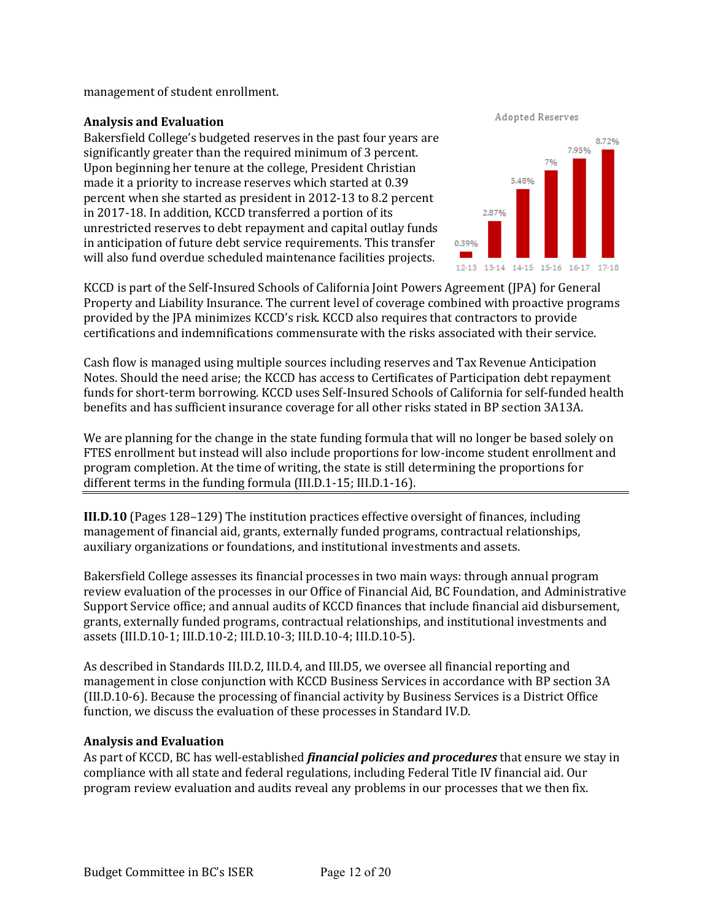$m$ anagement of student enrollment. $\alpha$  is a conserves, conserves, conserves, conservative budget planning, and  $\alpha$ 

# **Analysis and Evaluation**

Bakersfield College's budgeted reserves in the past four years are **Analysis and Evaluation**  Bakersfield college's budgeted reserves in the past four years are<br>significantly greater than the required minimum of 3 percent. significantly greater than the required minimum of 3 percent.<br>Upon beginning her tenure at the college, President Christian opon beginning her tenure at the college, I resident Christian<br>made it a priority to increase reserves which started at 0.39 made it a priority to increase reserves which started at 0.39<br>percent when she started as president in 2012-13 to 8.2 percent in 2017-18. In addition, KCCD transferred a portion of its unrestricted reserves to debt repayment and capital outlay funds in anticipation of future debt service requirements. This transfer will also fund overdue scheduled maintenance facilities projects. percent when she started as president in 2012-13 to 8.2 percent

Adopted Reserves



 $KCCD$  is part of the Self-Insured Schools of California Joint Powers Agreement (JPA) for General Property and Liability Insurance. The current level of coverage combined with proactive programs provided by the JPA minimizes KCCD's risk. KCCD also requires that contractors to provide  $c$ ertifications and indemnifications commensurate with the risks associated with their service.

Cash flow is managed using multiple sources including reserves and Tax Revenue Anticipation Notes. Should the need arise; the KCCD has access to Certificates of Participation debt repayment funds for short-term borrowing. KCCD uses Self-Insured Schools of California for self-funded health benefits and has sufficient insurance coverage for all other risks stated in BP section 3A13A.

We are planning for the change in the state funding formula that will no longer be based solely on FTES enrollment but instead will also include proportions for low-income student enrollment and program completion. At the time of writing, the state is still determining the proportions for different terms in the funding formula  $(III.D.1-15; III.D.1-16)$ .

**III.D.10** (Pages 128–129) The institution practices effective oversight of finances, including management of financial aid, grants, externally funded programs, contractual relationships, auxiliary organizations or foundations, and institutional investments and assets.

Bakersfield College assesses its financial processes in two main ways: through annual program review evaluation of the processes in our Office of Financial Aid, BC Foundation, and Administrative Support Service office; and annual audits of KCCD finances that include financial aid disbursement, grants, externally funded programs, contractual relationships, and institutional investments and assets (III.D.10-1; III.D.10-2; III.D.10-3; III.D.10-4; III.D.10-5).

As described in Standards III.D.2, III.D.4, and III.D5, we oversee all financial reporting and management in close conjunction with KCCD Business Services in accordance with BP section 3A (III.D.10-6). Because the processing of financial activity by Business Services is a District Office function, we discuss the evaluation of these processes in Standard IV.D.

# **Analysis and Evaluation**

As part of KCCD, BC has well-established *financial policies and procedures* that ensure we stay in compliance with all state and federal regulations, including Federal Title IV financial aid. Our program review evaluation and audits reveal any problems in our processes that we then fix.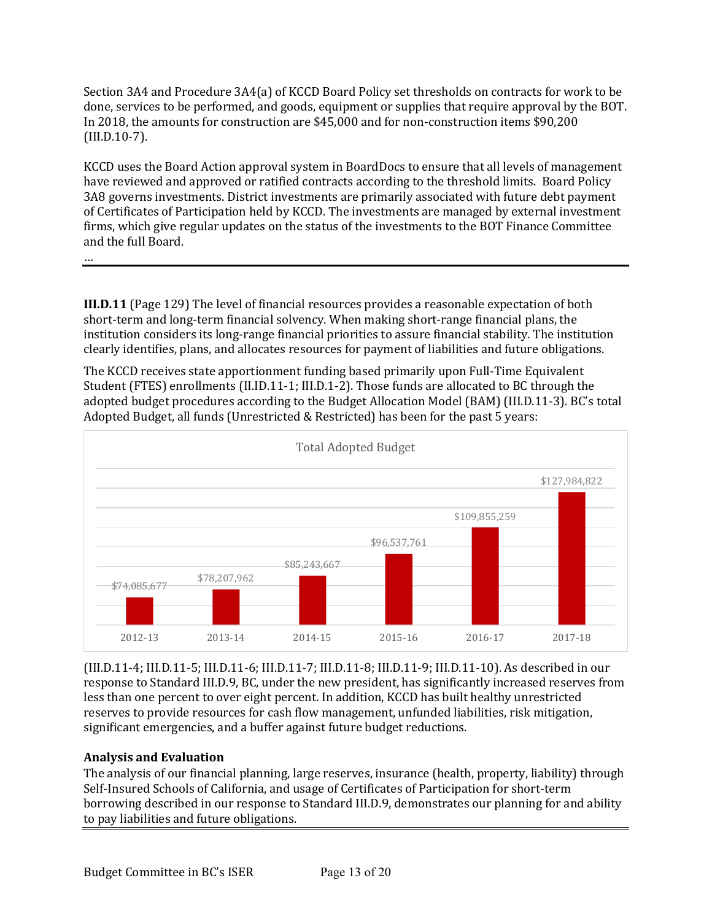Section 3A4 and Procedure 3A4(a) of KCCD Board Policy set thresholds on contracts for work to be done, services to be performed, and goods, equipment or supplies that require approval by the BOT. In 2018, the amounts for construction are \$45,000 and for non-construction items \$90,200 (III.D.10-7). 

KCCD uses the Board Action approval system in BoardDocs to ensure that all levels of management have reviewed and approved or ratified contracts according to the threshold limits. Board Policy 3A8 governs investments. District investments are primarily associated with future debt payment of Certificates of Participation held by KCCD. The investments are managed by external investment firms, which give regular updates on the status of the investments to the BOT Finance Committee and the full Board.

…

**III.D.11** (Page 129) The level of financial resources provides a reasonable expectation of both short-term and long-term financial solvency. When making short-range financial plans, the institution considers its long-range financial priorities to assure financial stability. The institution clearly identifies, plans, and allocates resources for payment of liabilities and future obligations.

The KCCD receives state apportionment funding based primarily upon Full-Time Equivalent Student (FTES) enrollments (II.ID.11-1; III.D.1-2). Those funds are allocated to BC through the adopted budget procedures according to the Budget Allocation Model (BAM) (III.D.11-3). BC's total Adopted Budget, all funds (Unrestricted & Restricted) has been for the past 5 years:



 $(III.D.11-4; III.D.11-5; III.D.11-6; III.D.11-7; III.D.11-8; III.D.11-9; III.D.11-10)$ . As described in our response to Standard III.D.9, BC, under the new president, has significantly increased reserves from less than one percent to over eight percent. In addition, KCCD has built healthy unrestricted reserves to provide resources for cash flow management, unfunded liabilities, risk mitigation, significant emergencies, and a buffer against future budget reductions.

# **Analysis and Evaluation**

The analysis of our financial planning, large reserves, insurance (health, property, liability) through Self-Insured Schools of California, and usage of Certificates of Participation for short-term borrowing described in our response to Standard III.D.9, demonstrates our planning for and ability to pay liabilities and future obligations.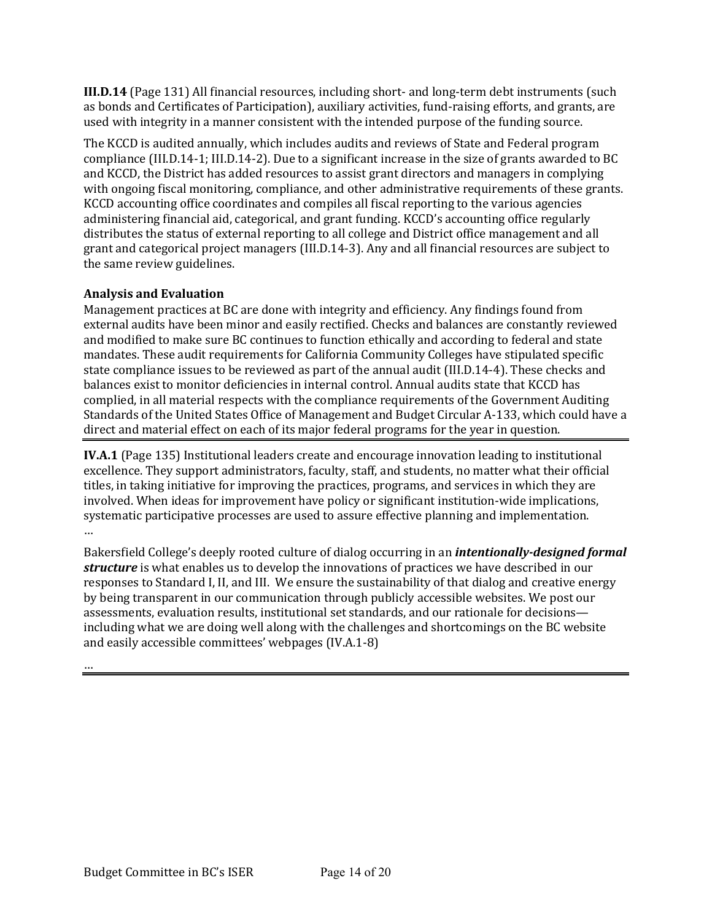**III.D.14** (Page 131) All financial resources, including short- and long-term debt instruments (such as bonds and Certificates of Participation), auxiliary activities, fund-raising efforts, and grants, are used with integrity in a manner consistent with the intended purpose of the funding source.

The KCCD is audited annually, which includes audits and reviews of State and Federal program compliance (III.D.14-1; III.D.14-2). Due to a significant increase in the size of grants awarded to BC and KCCD, the District has added resources to assist grant directors and managers in complying with ongoing fiscal monitoring, compliance, and other administrative requirements of these grants. KCCD accounting office coordinates and compiles all fiscal reporting to the various agencies administering financial aid, categorical, and grant funding. KCCD's accounting office regularly distributes the status of external reporting to all college and District office management and all grant and categorical project managers (III.D.14-3). Any and all financial resources are subject to the same review guidelines.

# **Analysis and Evaluation**

Management practices at BC are done with integrity and efficiency. Any findings found from external audits have been minor and easily rectified. Checks and balances are constantly reviewed and modified to make sure BC continues to function ethically and according to federal and state mandates. These audit requirements for California Community Colleges have stipulated specific state compliance issues to be reviewed as part of the annual audit (III.D.14-4). These checks and balances exist to monitor deficiencies in internal control. Annual audits state that KCCD has complied, in all material respects with the compliance requirements of the Government Auditing Standards of the United States Office of Management and Budget Circular A-133, which could have a direct and material effect on each of its major federal programs for the year in question.

**IV.A.1** (Page 135) Institutional leaders create and encourage innovation leading to institutional excellence. They support administrators, faculty, staff, and students, no matter what their official titles, in taking initiative for improving the practices, programs, and services in which they are involved. When ideas for improvement have policy or significant institution-wide implications, systematic participative processes are used to assure effective planning and implementation. …

Bakersfield College's deeply rooted culture of dialog occurring in an *intentionally-designed formal* **structure** is what enables us to develop the innovations of practices we have described in our responses to Standard I, II, and III. We ensure the sustainability of that dialog and creative energy by being transparent in our communication through publicly accessible websites. We post our assessments, evaluation results, institutional set standards, and our rationale for decisions including what we are doing well along with the challenges and shortcomings on the BC website and easily accessible committees' webpages (IV.A.1-8)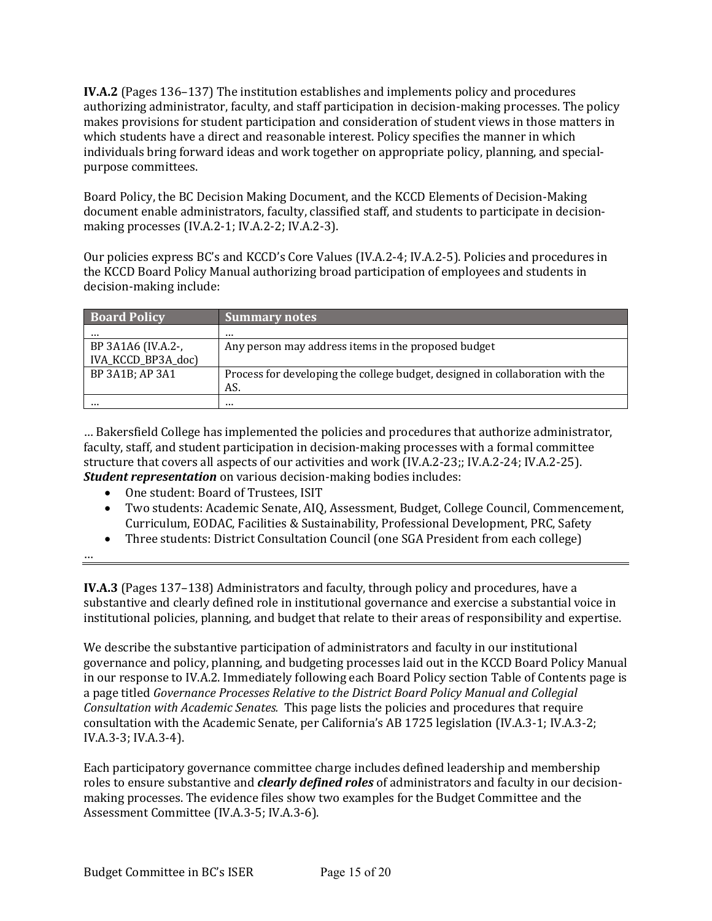**IV.A.2** (Pages 136–137) The institution establishes and implements policy and procedures authorizing administrator, faculty, and staff participation in decision-making processes. The policy makes provisions for student participation and consideration of student views in those matters in which students have a direct and reasonable interest. Policy specifies the manner in which individuals bring forward ideas and work together on appropriate policy, planning, and specialpurpose committees.

Board Policy, the BC Decision Making Document, and the KCCD Elements of Decision-Making document enable administrators, faculty, classified staff, and students to participate in decisionmaking processes  $(IV.A.2-1; IV.A.2-2; IV.A.2-3)$ .

Our policies express BC's and KCCD's Core Values (IV.A.2-4; IV.A.2-5). Policies and procedures in the KCCD Board Policy Manual authorizing broad participation of employees and students in decision-making include:

| <b>Board Policy</b> | <b>Summary notes</b>                                                          |
|---------------------|-------------------------------------------------------------------------------|
|                     |                                                                               |
| BP 3A1A6 (IV.A.2-,  | Any person may address items in the proposed budget                           |
| IVA_KCCD_BP3A_doc)  |                                                                               |
| BP 3A1B; AP 3A1     | Process for developing the college budget, designed in collaboration with the |
|                     | AS.                                                                           |
|                     |                                                                               |

... Bakersfield College has implemented the policies and procedures that authorize administrator, faculty, staff, and student participation in decision-making processes with a formal committee structure that covers all aspects of our activities and work (IV.A.2-23;; IV.A.2-24; IV.A.2-25). *Student representation* on various decision-making bodies includes:

- 
- One student: Board of Trustees, ISIT
- Two students: Academic Senate, AIQ, Assessment, Budget, College Council, Commencement, Curriculum, EODAC, Facilities & Sustainability, Professional Development, PRC, Safety
- Three students: District Consultation Council (one SGA President from each college)

…

**IV.A.3** (Pages 137-138) Administrators and faculty, through policy and procedures, have a substantive and clearly defined role in institutional governance and exercise a substantial voice in institutional policies, planning, and budget that relate to their areas of responsibility and expertise.

We describe the substantive participation of administrators and faculty in our institutional governance and policy, planning, and budgeting processes laid out in the KCCD Board Policy Manual in our response to IV.A.2. Immediately following each Board Policy section Table of Contents page is a page titled *Governance Processes Relative to the District Board Policy Manual and Collegial Consultation with Academic Senates.* This page lists the policies and procedures that require consultation with the Academic Senate, per California's AB 1725 legislation (IV.A.3-1; IV.A.3-2; IV.A.3-3; IV.A.3-4).

Each participatory governance committee charge includes defined leadership and membership roles to ensure substantive and *clearly defined roles* of administrators and faculty in our decisionmaking processes. The evidence files show two examples for the Budget Committee and the Assessment Committee (IV.A.3-5; IV.A.3-6).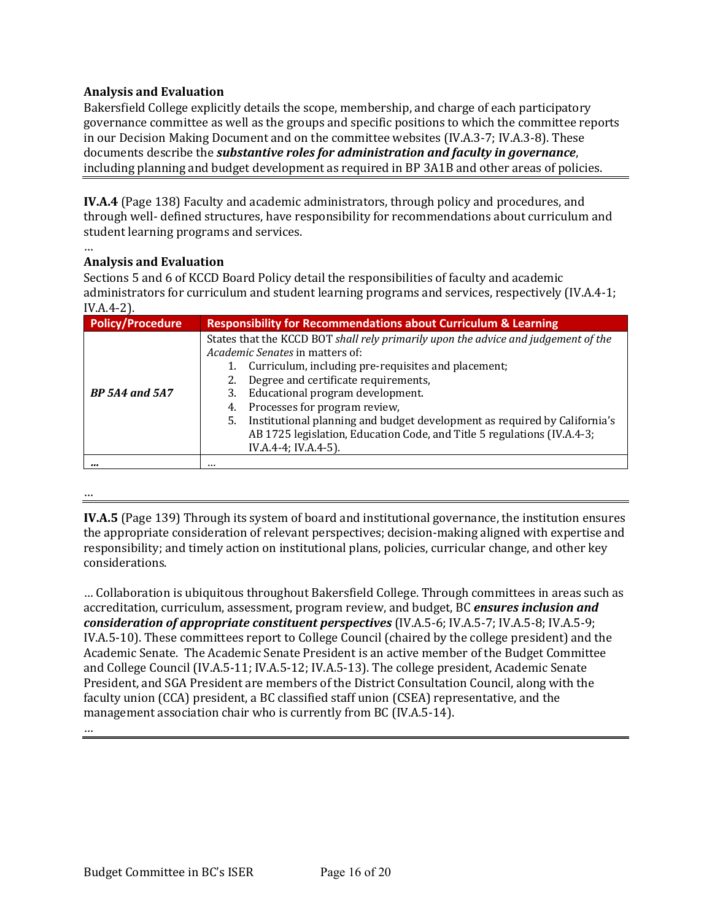# **Analysis and Evaluation**

Bakersfield College explicitly details the scope, membership, and charge of each participatory governance committee as well as the groups and specific positions to which the committee reports in our Decision Making Document and on the committee websites (IV.A.3-7; IV.A.3-8). These documents describe the *substantive roles for administration and faculty in governance*, including planning and budget development as required in BP 3A1B and other areas of policies.

**IV.A.4** (Page 138) Faculty and academic administrators, through policy and procedures, and through well- defined structures, have responsibility for recommendations about curriculum and student learning programs and services.

#### … **Analysis and Evaluation**

Sections 5 and 6 of KCCD Board Policy detail the responsibilities of faculty and academic administrators for curriculum and student learning programs and services, respectively (IV.A.4-1; IV.A.4-2). 

| <b>Policy/Procedure</b> | <b>Responsibility for Recommendations about Curriculum &amp; Learning</b>                                                                                                                                                                                                                                                                                                                                                                                                                             |
|-------------------------|-------------------------------------------------------------------------------------------------------------------------------------------------------------------------------------------------------------------------------------------------------------------------------------------------------------------------------------------------------------------------------------------------------------------------------------------------------------------------------------------------------|
| <b>BP</b> 5A4 and 5A7   | States that the KCCD BOT shall rely primarily upon the advice and judgement of the<br><i>Academic Senates</i> in matters of:<br>Curriculum, including pre-requisites and placement;<br>Degree and certificate requirements,<br>2.<br>Educational program development.<br>3.<br>4. Processes for program review,<br>Institutional planning and budget development as required by California's<br>5.<br>AB 1725 legislation, Education Code, and Title 5 regulations (IV.A.4-3;<br>IV.A.4-4; IV.A.4-5). |
|                         |                                                                                                                                                                                                                                                                                                                                                                                                                                                                                                       |

…

**IV.A.5** (Page 139) Through its system of board and institutional governance, the institution ensures the appropriate consideration of relevant perspectives; decision-making aligned with expertise and responsibility; and timely action on institutional plans, policies, curricular change, and other key considerations.

... Collaboration is ubiquitous throughout Bakersfield College. Through committees in areas such as accreditation, curriculum, assessment, program review, and budget, BC *ensures inclusion and consideration of appropriate constituent perspectives* (IV.A.5-6; IV.A.5-7; IV.A.5-8; IV.A.5-9; IV.A.5-10). These committees report to College Council (chaired by the college president) and the Academic Senate. The Academic Senate President is an active member of the Budget Committee and College Council (IV.A.5-11; IV.A.5-12; IV.A.5-13). The college president, Academic Senate President, and SGA President are members of the District Consultation Council, along with the faculty union (CCA) president, a BC classified staff union (CSEA) representative, and the management association chair who is currently from BC (IV.A.5-14). …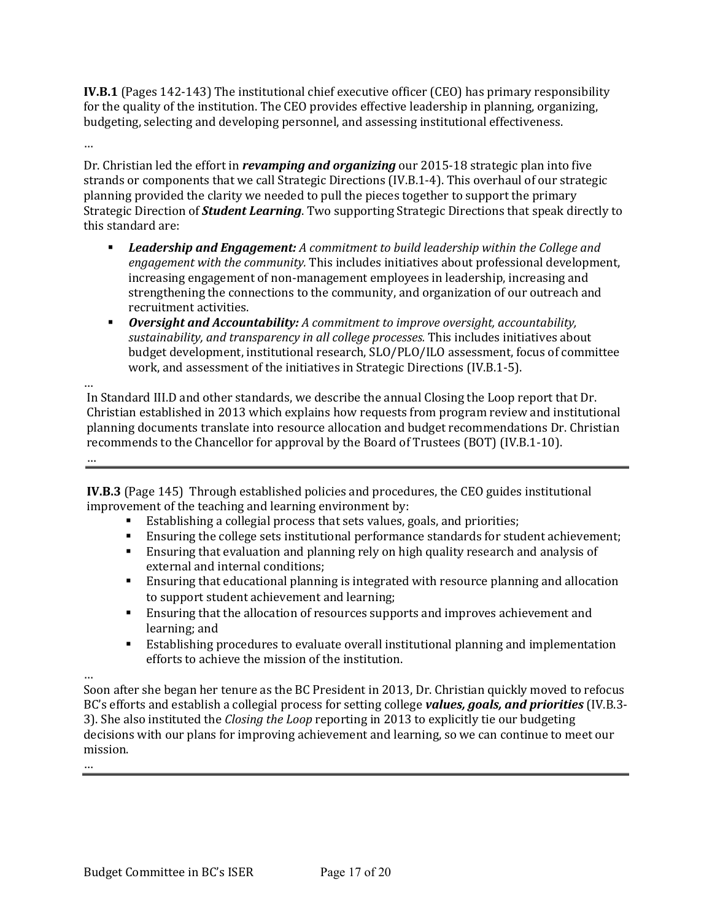**IV.B.1** (Pages 142-143) The institutional chief executive officer (CEO) has primary responsibility for the quality of the institution. The CEO provides effective leadership in planning, organizing, budgeting, selecting and developing personnel, and assessing institutional effectiveness.

…

Dr. Christian led the effort in *revamping and organizing* our 2015-18 strategic plan into five strands or components that we call Strategic Directions (IV.B.1-4). This overhaul of our strategic planning provided the clarity we needed to pull the pieces together to support the primary Strategic Direction of **Student Learning**. Two supporting Strategic Directions that speak directly to this standard are:

- **■** Leadership and Engagement: A commitment to build leadership within the College and *engagement with the community.* This includes initiatives about professional development, increasing engagement of non-management employees in leadership, increasing and strengthening the connections to the community, and organization of our outreach and recruitment activities.
- **Oversight and Accountability:** A commitment to improve oversight, accountability, sustainability, and transparency in all college processes. This includes initiatives about budget development, institutional research, SLO/PLO/ILO assessment, focus of committee work, and assessment of the initiatives in Strategic Directions (IV.B.1-5).

… In Standard III.D and other standards, we describe the annual Closing the Loop report that Dr. Christian established in 2013 which explains how requests from program review and institutional planning documents translate into resource allocation and budget recommendations Dr. Christian recommends to the Chancellor for approval by the Board of Trustees (BOT) (IV.B.1-10).

**IV.B.3** (Page 145) Through established policies and procedures, the CEO guides institutional improvement of the teaching and learning environment by:

- Establishing a collegial process that sets values, goals, and priorities;
- **•** Ensuring the college sets institutional performance standards for student achievement;
- **Ensuring that evaluation and planning rely on high quality research and analysis of** external and internal conditions;
- **■** Ensuring that educational planning is integrated with resource planning and allocation to support student achievement and learning;
- **Ensuring that the allocation of resources supports and improves achievement and** learning; and
- Establishing procedures to evaluate overall institutional planning and implementation efforts to achieve the mission of the institution.

…

…

Soon after she began her tenure as the BC President in 2013, Dr. Christian quickly moved to refocus BC's efforts and establish a collegial process for setting college *values, goals, and priorities* (IV.B.3-3). She also instituted the *Closing the Loop* reporting in 2013 to explicitly tie our budgeting decisions with our plans for improving achievement and learning, so we can continue to meet our mission.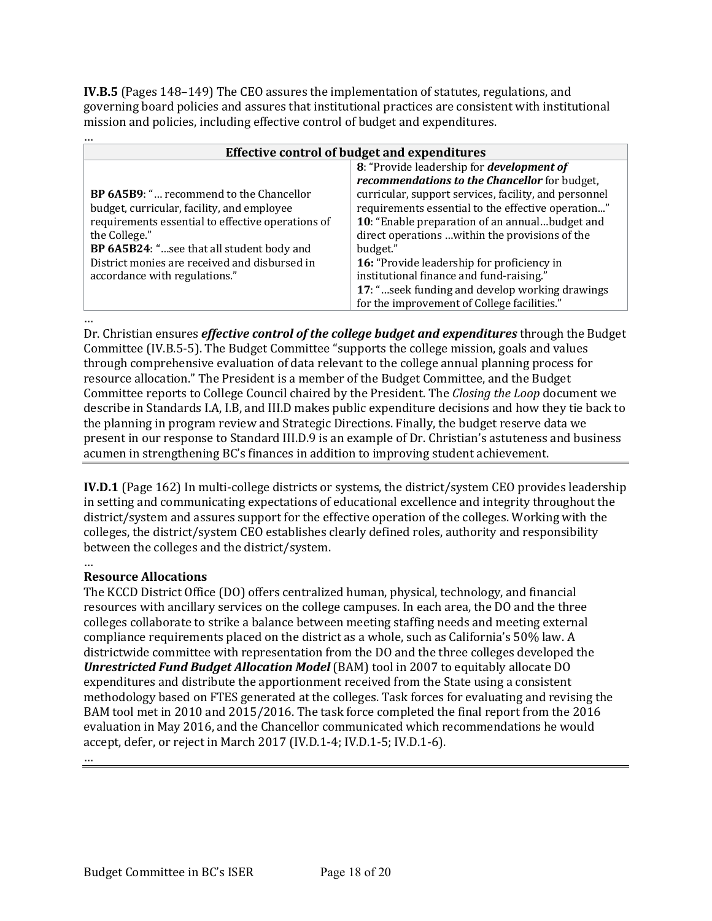**IV.B.5** (Pages 148–149) The CEO assures the implementation of statutes, regulations, and governing board policies and assures that institutional practices are consistent with institutional mission and policies, including effective control of budget and expenditures.

| Effective control of budget and expenditures      |                                                       |  |
|---------------------------------------------------|-------------------------------------------------------|--|
|                                                   | 8: "Provide leadership for <i>development of</i>      |  |
|                                                   | recommendations to the Chancellor for budget,         |  |
| <b>BP 6A5B9: " recommend to the Chancellor</b>    | curricular, support services, facility, and personnel |  |
| budget, curricular, facility, and employee        | requirements essential to the effective operation"    |  |
| requirements essential to effective operations of | 10: "Enable preparation of an annualbudget and        |  |
| the College."                                     | direct operations  within the provisions of the       |  |
| BP 6A5B24: "see that all student body and         | budget."                                              |  |
| District monies are received and disbursed in     | 16: "Provide leadership for proficiency in            |  |
| accordance with regulations."                     | institutional finance and fund-raising."              |  |
|                                                   | 17: "seek funding and develop working drawings        |  |
|                                                   | for the improvement of College facilities."           |  |

…

…

Dr. Christian ensures *effective control of the college budget and expenditures* through the Budget Committee (IV.B.5-5). The Budget Committee "supports the college mission, goals and values through comprehensive evaluation of data relevant to the college annual planning process for resource allocation." The President is a member of the Budget Committee, and the Budget Committee reports to College Council chaired by the President. The *Closing the Loop* document we describe in Standards I.A, I.B, and III.D makes public expenditure decisions and how they tie back to the planning in program review and Strategic Directions. Finally, the budget reserve data we present in our response to Standard III.D.9 is an example of Dr. Christian's astuteness and business acumen in strengthening BC's finances in addition to improving student achievement.

**IV.D.1** (Page 162) In multi-college districts or systems, the district/system CEO provides leadership in setting and communicating expectations of educational excellence and integrity throughout the district/system and assures support for the effective operation of the colleges. Working with the colleges, the district/system CEO establishes clearly defined roles, authority and responsibility between the colleges and the district/system.

# **Resource Allocations**

The KCCD District Office (DO) offers centralized human, physical, technology, and financial resources with ancillary services on the college campuses. In each area, the DO and the three colleges collaborate to strike a balance between meeting staffing needs and meeting external compliance requirements placed on the district as a whole, such as California's 50% law. A districtwide committee with representation from the DO and the three colleges developed the **Unrestricted Fund Budget Allocation Model** (BAM) tool in 2007 to equitably allocate DO expenditures and distribute the apportionment received from the State using a consistent methodology based on FTES generated at the colleges. Task forces for evaluating and revising the BAM tool met in 2010 and 2015/2016. The task force completed the final report from the 2016 evaluation in May 2016, and the Chancellor communicated which recommendations he would accept, defer, or reject in March 2017 (IV.D.1-4; IV.D.1-5; IV.D.1-6).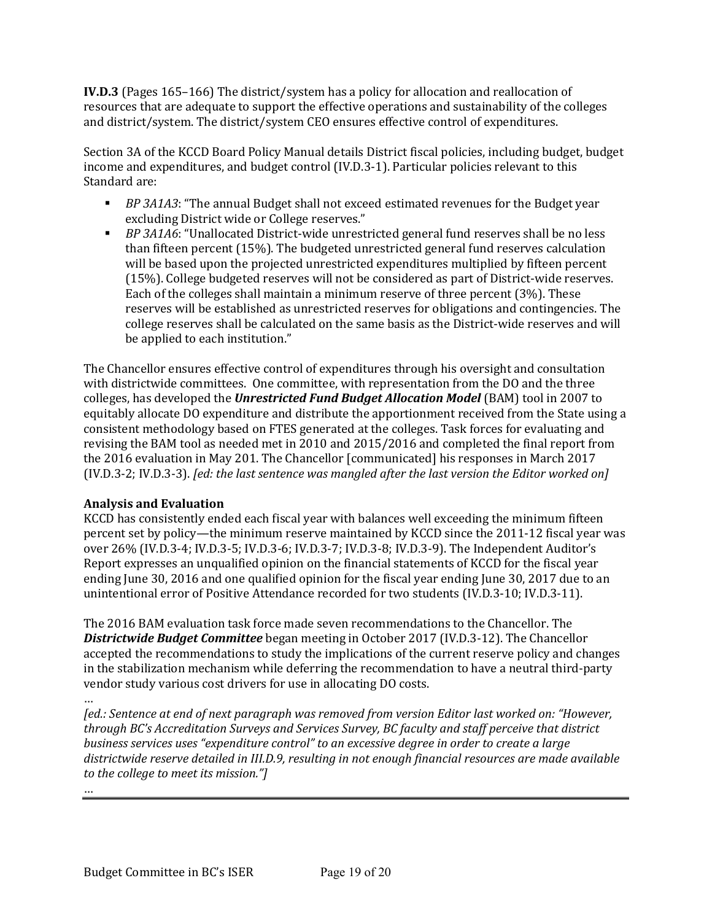**IV.D.3** (Pages 165–166) The district/system has a policy for allocation and reallocation of resources that are adequate to support the effective operations and sustainability of the colleges and district/system. The district/system CEO ensures effective control of expenditures.

Section 3A of the KCCD Board Policy Manual details District fiscal policies, including budget, budget income and expenditures, and budget control (IV.D.3-1). Particular policies relevant to this Standard are:

- **•** *BP* 3A1A3: "The annual Budget shall not exceed estimated revenues for the Budget year excluding District wide or College reserves."
- **•** *BP* 3A1A6: "Unallocated District-wide unrestricted general fund reserves shall be no less than fifteen percent  $(15%)$ . The budgeted unrestricted general fund reserves calculation will be based upon the projected unrestricted expenditures multiplied by fifteen percent (15%). College budgeted reserves will not be considered as part of District-wide reserves. Each of the colleges shall maintain a minimum reserve of three percent  $(3%)$ . These reserves will be established as unrestricted reserves for obligations and contingencies. The college reserves shall be calculated on the same basis as the District-wide reserves and will be applied to each institution."

The Chancellor ensures effective control of expenditures through his oversight and consultation with districtwide committees. One committee, with representation from the DO and the three colleges, has developed the *Unrestricted Fund Budget Allocation Model* (BAM) tool in 2007 to equitably allocate DO expenditure and distribute the apportionment received from the State using a consistent methodology based on FTES generated at the colleges. Task forces for evaluating and revising the BAM tool as needed met in 2010 and 2015/2016 and completed the final report from the 2016 evaluation in May 201. The Chancellor [communicated] his responses in March 2017 (IV.D.3-2; IV.D.3-3). *[ed: the last sentence was mangled after the last version the Editor worked on]* 

# **Analysis and Evaluation**

KCCD has consistently ended each fiscal year with balances well exceeding the minimum fifteen percent set by policy—the minimum reserve maintained by KCCD since the 2011-12 fiscal year was over 26% (IV.D.3-4; IV.D.3-5; IV.D.3-6; IV.D.3-7; IV.D.3-8; IV.D.3-9). The Independent Auditor's Report expresses an unqualified opinion on the financial statements of KCCD for the fiscal year ending June 30, 2016 and one qualified opinion for the fiscal year ending June 30, 2017 due to an unintentional error of Positive Attendance recorded for two students (IV.D.3-10; IV.D.3-11).

The 2016 BAM evaluation task force made seven recommendations to the Chancellor. The **Districtwide Budget Committee** began meeting in October 2017 (IV.D.3-12). The Chancellor accepted the recommendations to study the implications of the current reserve policy and changes in the stabilization mechanism while deferring the recommendation to have a neutral third-party vendor study various cost drivers for use in allocating DO costs.

…

*[ed.: Sentence at end of next paragraph was removed from version Editor last worked on: "However,* through BC's Accreditation Surveys and Services Survey, BC faculty and staff perceive that district *business services uses "expenditure control" to an excessive degree in order to create a large* districtwide reserve detailed in III.D.9, resulting in not enough financial resources are made available *to the college to meet its mission."*